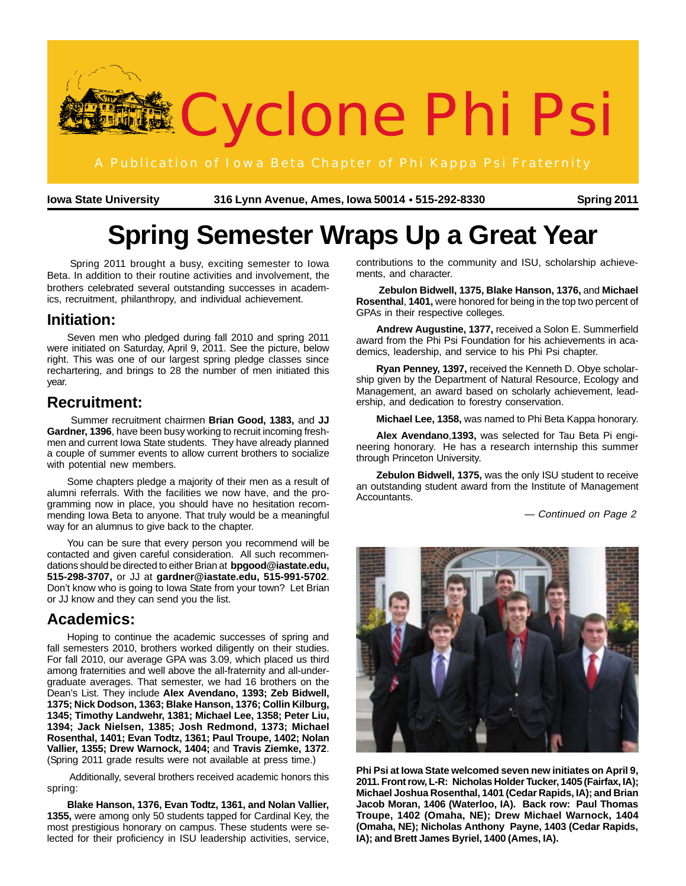

**Iowa State University Spring 2011 316 Lynn Avenue, Ames, Iowa 50014 515-292-8330** ●

# **Spring Semester Wraps Up a Great Year**

 Spring 2011 brought a busy, exciting semester to Iowa Beta. In addition to their routine activities and involvement, the brothers celebrated several outstanding successes in academics, recruitment, philanthropy, and individual achievement.

#### **Initiation:**

Seven men who pledged during fall 2010 and spring 2011 were initiated on Saturday, April 9, 2011. See the picture, below right. This was one of our largest spring pledge classes since rechartering, and brings to 28 the number of men initiated this year.

#### **Recruitment:**

 Summer recruitment chairmen **Brian Good, 1383,** and **JJ Gardner, 1396**, have been busy working to recruit incoming freshmen and current Iowa State students. They have already planned a couple of summer events to allow current brothers to socialize with potential new members.

Some chapters pledge a majority of their men as a result of alumni referrals. With the facilities we now have, and the programming now in place, you should have no hesitation recommending Iowa Beta to anyone. That truly would be a meaningful way for an alumnus to give back to the chapter.

You can be sure that every person you recommend will be contacted and given careful consideration. All such recommendations should be directed to either Brian at **bpgood@iastate.edu, 515-298-3707,** or JJ at **gardner@iastate.edu, 515-991-5702**. Don't know who is going to Iowa State from your town? Let Brian or JJ know and they can send you the list.

### **Academics:**

Hoping to continue the academic successes of spring and fall semesters 2010, brothers worked diligently on their studies. For fall 2010, our average GPA was 3.09, which placed us third among fraternities and well above the all-fraternity and all-undergraduate averages. That semester, we had 16 brothers on the Dean's List. They include **Alex Avendano, 1393; Zeb Bidwell, 1375; Nick Dodson, 1363; Blake Hanson, 1376; Collin Kilburg, 1345; Timothy Landwehr, 1381; Michael Lee, 1358; Peter Liu, 1394; Jack Nielsen, 1385; Josh Redmond, 1373; Michael Rosenthal, 1401; Evan Todtz, 1361; Paul Troupe, 1402; Nolan Vallier, 1355; Drew Warnock, 1404;** and **Travis Ziemke, 1372**. (Spring 2011 grade results were not available at press time.)

 Additionally, several brothers received academic honors this spring:

**Blake Hanson, 1376, Evan Todtz, 1361, and Nolan Vallier, 1355,** were among only 50 students tapped for Cardinal Key, the most prestigious honorary on campus. These students were selected for their proficiency in ISU leadership activities, service,

contributions to the community and ISU, scholarship achievements, and character.

**Zebulon Bidwell, 1375, Blake Hanson, 1376,** and **Michael Rosenthal**, **1401,** were honored for being in the top two percent of GPAs in their respective colleges.

**Andrew Augustine, 1377,** received a Solon E. Summerfield award from the Phi Psi Foundation for his achievements in academics, leadership, and service to his Phi Psi chapter.

**Ryan Penney, 1397,** received the Kenneth D. Obye scholarship given by the Department of Natural Resource, Ecology and Management, an award based on scholarly achievement, leadership, and dedication to forestry conservation.

**Michael Lee, 1358,** was named to Phi Beta Kappa honorary.

**Alex Avendano**,**1393,** was selected for Tau Beta Pi engineering honorary. He has a research internship this summer through Princeton University.

**Zebulon Bidwell, 1375,** was the only ISU student to receive an outstanding student award from the Institute of Management Accountants.

— Continued on Page 2



**Phi Psi at Iowa State welcomed seven new initiates on April 9, 2011. Front row, L-R: Nicholas Holder Tucker, 1405 (Fairfax, IA); Michael Joshua Rosenthal, 1401 (Cedar Rapids, IA); and Brian Jacob Moran, 1406 (Waterloo, IA). Back row: Paul Thomas Troupe, 1402 (Omaha, NE); Drew Michael Warnock, 1404 (Omaha, NE); Nicholas Anthony Payne, 1403 (Cedar Rapids, IA); and Brett James Byriel, 1400 (Ames, IA).**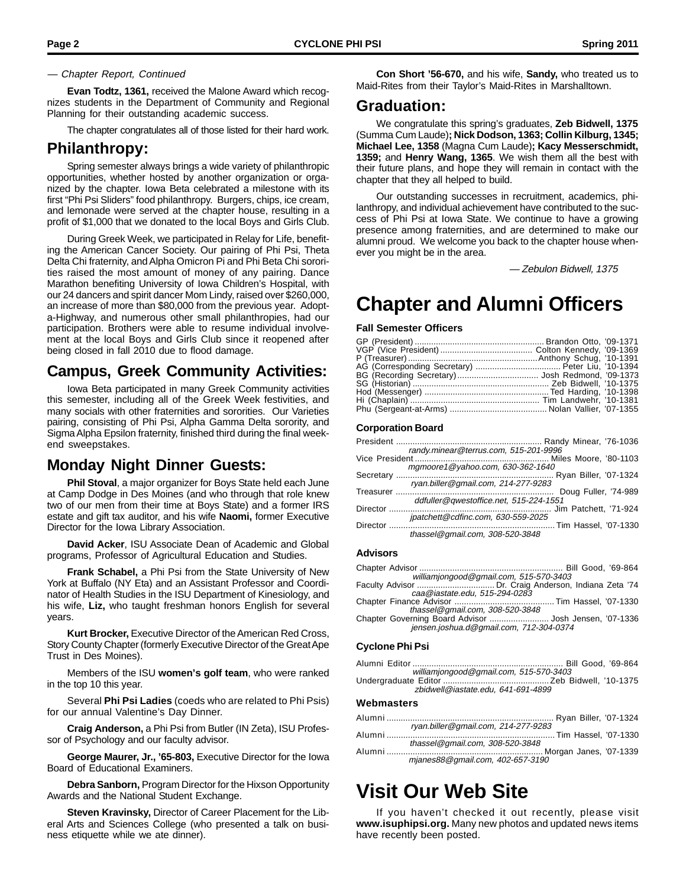#### — Chapter Report, Continued

**Evan Todtz, 1361,** received the Malone Award which recognizes students in the Department of Community and Regional Planning for their outstanding academic success.

The chapter congratulates all of those listed for their hard work.

#### **Philanthropy:**

Spring semester always brings a wide variety of philanthropic opportunities, whether hosted by another organization or organized by the chapter. Iowa Beta celebrated a milestone with its first "Phi Psi Sliders" food philanthropy. Burgers, chips, ice cream, and lemonade were served at the chapter house, resulting in a profit of \$1,000 that we donated to the local Boys and Girls Club.

During Greek Week, we participated in Relay for Life, benefiting the American Cancer Society. Our pairing of Phi Psi, Theta Delta Chi fraternity, and Alpha Omicron Pi and Phi Beta Chi sororities raised the most amount of money of any pairing. Dance Marathon benefiting University of Iowa Children's Hospital, with our 24 dancers and spirit dancer Mom Lindy, raised over \$260,000, an increase of more than \$80,000 from the previous year. Adopta-Highway, and numerous other small philanthropies, had our participation. Brothers were able to resume individual involvement at the local Boys and Girls Club since it reopened after being closed in fall 2010 due to flood damage.

#### **Campus, Greek Community Activities:**

Iowa Beta participated in many Greek Community activities this semester, including all of the Greek Week festivities, and many socials with other fraternities and sororities. Our Varieties pairing, consisting of Phi Psi, Alpha Gamma Delta sorority, and Sigma Alpha Epsilon fraternity, finished third during the final weekend sweepstakes.

#### **Monday Night Dinner Guests:**

**Phil Stoval**, a major organizer for Boys State held each June at Camp Dodge in Des Moines (and who through that role knew two of our men from their time at Boys State) and a former IRS estate and gift tax auditor, and his wife **Naomi,** former Executive Director for the Iowa Library Association.

**David Acker**, ISU Associate Dean of Academic and Global programs, Professor of Agricultural Education and Studies.

**Frank Schabel,** a Phi Psi from the State University of New York at Buffalo (NY Eta) and an Assistant Professor and Coordinator of Health Studies in the ISU Department of Kinesiology, and his wife, **Liz,** who taught freshman honors English for several years.

**Kurt Brocker,** Executive Director of the American Red Cross, Story County Chapter (formerly Executive Director of the Great Ape Trust in Des Moines).

Members of the ISU **women's golf team**, who were ranked in the top 10 this year.

Several **Phi Psi Ladies** (coeds who are related to Phi Psis) for our annual Valentine's Day Dinner.

**Craig Anderson,** a Phi Psi from Butler (IN Zeta), ISU Professor of Psychology and our faculty advisor.

**George Maurer, Jr., '65-803,** Executive Director for the Iowa Board of Educational Examiners.

**Debra Sanborn,** Program Director for the Hixson Opportunity Awards and the National Student Exchange.

**Steven Kravinsky,** Director of Career Placement for the Liberal Arts and Sciences College (who presented a talk on business etiquette while we ate dinner).

**Con Short '56-670,** and his wife, **Sandy,** who treated us to Maid-Rites from their Taylor's Maid-Rites in Marshalltown.

#### **Graduation:**

We congratulate this spring's graduates, **Zeb Bidwell, 1375** (Summa Cum Laude)**; Nick Dodson, 1363; Collin Kilburg, 1345; Michael Lee, 1358** (Magna Cum Laude)**; Kacy Messerschmidt, 1359;** and **Henry Wang, 1365**. We wish them all the best with their future plans, and hope they will remain in contact with the chapter that they all helped to build.

Our outstanding successes in recruitment, academics, philanthropy, and individual achievement have contributed to the success of Phi Psi at Iowa State. We continue to have a growing presence among fraternities, and are determined to make our alumni proud. We welcome you back to the chapter house whenever you might be in the area.

— Zebulon Bidwell, 1375

### **Chapter and Alumni Officers**

**Fall Semester Officers**

#### **Corporation Board**

|          | randy.minear@terrus.com, 515-201-9996  |  |
|----------|----------------------------------------|--|
|          | mgmoore1@yahoo.com, 630-362-1640       |  |
|          |                                        |  |
|          | ryan.biller@gmail.com, 214-277-9283    |  |
|          |                                        |  |
|          | ddfuller@qwestoffice.net, 515-224-1551 |  |
|          |                                        |  |
|          | jpatchett@cdfinc.com, 630-559-2025     |  |
| Director |                                        |  |
|          | thassel@gmail.com, 308-520-3848        |  |

#### **Advisors**

| williamjongood@gmail.com, 515-570-3403                 |  |
|--------------------------------------------------------|--|
|                                                        |  |
| caa@iastate.edu, 515-294-0283                          |  |
|                                                        |  |
| thassel@gmail.com, 308-520-3848                        |  |
| Chapter Governing Board Advisor  Josh Jensen, '07-1336 |  |
| jensen.joshua.d@gmail.com, 712-304-0374                |  |
|                                                        |  |

#### **Cyclone Phi Psi**

| williamjongood@gmail.com, 515-570-3403 |  |
|----------------------------------------|--|
|                                        |  |
| zbidwell@iastate.edu. 641-691-4899     |  |
| <b>Webmasters</b>                      |  |

| ryan.biller@qmail.com, 214-277-9283 |
|-------------------------------------|
|                                     |
| thassel@gmail.com, 308-520-3848     |
|                                     |
| mjanes88@gmail.com, 402-657-3190    |

### **Visit Our Web Site**

If you haven't checked it out recently, please visit **www.isuphipsi.org.** Many new photos and updated news items have recently been posted.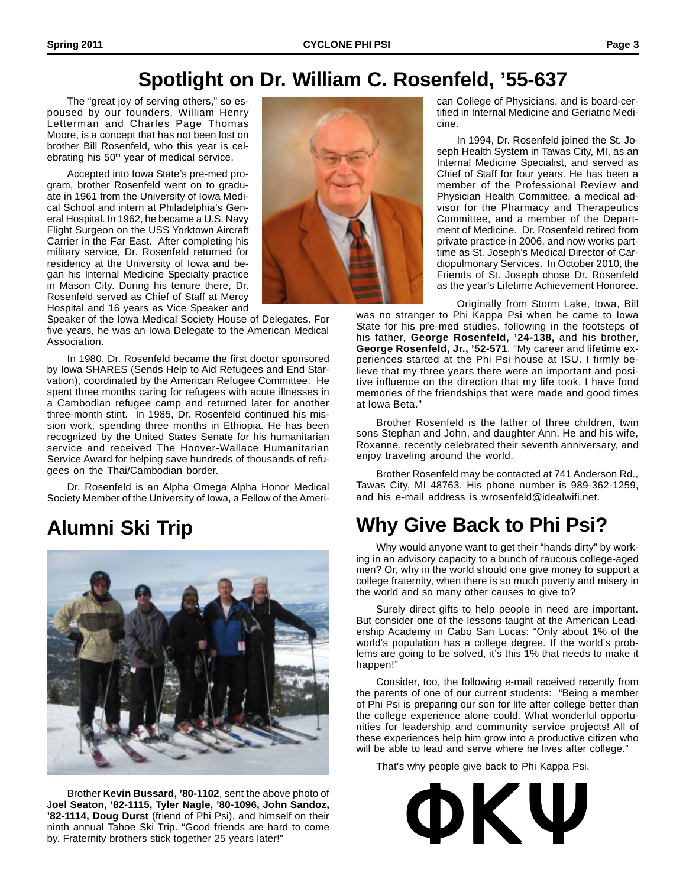### **Spotlight on Dr. William C. Rosenfeld, '55-637**

The "great joy of serving others," so espoused by our founders, William Henry Letterman and Charles Page Thomas Moore, is a concept that has not been lost on brother Bill Rosenfeld, who this year is celebrating his 50<sup>th</sup> year of medical service.

Accepted into Iowa State's pre-med program, brother Rosenfeld went on to graduate in 1961 from the University of Iowa Medical School and intern at Philadelphia's General Hospital. In 1962, he became a U.S. Navy Flight Surgeon on the USS Yorktown Aircraft Carrier in the Far East. After completing his military service, Dr. Rosenfeld returned for residency at the University of Iowa and began his Internal Medicine Specialty practice in Mason City. During his tenure there, Dr. Rosenfeld served as Chief of Staff at Mercy Hospital and 16 years as Vice Speaker and

Speaker of the Iowa Medical Society House of Delegates. For five years, he was an Iowa Delegate to the American Medical Association.

In 1980, Dr. Rosenfeld became the first doctor sponsored by Iowa SHARES (Sends Help to Aid Refugees and End Starvation), coordinated by the American Refugee Committee. He spent three months caring for refugees with acute illnesses in a Cambodian refugee camp and returned later for another three-month stint. In 1985, Dr. Rosenfeld continued his mission work, spending three months in Ethiopia. He has been recognized by the United States Senate for his humanitarian service and received The Hoover-Wallace Humanitarian Service Award for helping save hundreds of thousands of refugees on the Thai/Cambodian border.

Dr. Rosenfeld is an Alpha Omega Alpha Honor Medical Society Member of the University of Iowa, a Fellow of the Ameri-



Brother **Kevin Bussard, '80-1102**, sent the above photo of J**oel Seaton, '82-1115, Tyler Nagle, '80-1096, John Sandoz, '82-1114, Doug Durst** (friend of Phi Psi), and himself on their ninth annual Tahoe Ski Trip. "Good friends are hard to come by brother Kevin Bussard, '80-1102, sent the above photo of<br>Joel Seaton, '82-1115, Tyler Nagle, '80-1096, John Sandoz,<br>'82-1114, Doug Durst (friend of Phi Psi), and himself on their<br>ninth annual Tahoe Ski Trip. "Good frien



can College of Physicians, and is board-certified in Internal Medicine and Geriatric Medicine.

In 1994, Dr. Rosenfeld joined the St. Joseph Health System in Tawas City, MI, as an Internal Medicine Specialist, and served as Chief of Staff for four years. He has been a member of the Professional Review and Physician Health Committee, a medical advisor for the Pharmacy and Therapeutics Committee, and a member of the Department of Medicine. Dr. Rosenfeld retired from private practice in 2006, and now works parttime as St. Joseph's Medical Director of Cardiopulmonary Services. In October 2010, the Friends of St. Joseph chose Dr. Rosenfeld as the year's Lifetime Achievement Honoree.

Originally from Storm Lake, Iowa, Bill was no stranger to Phi Kappa Psi when he came to Iowa State for his pre-med studies, following in the footsteps of his father, **George Rosenfeld, '24-138,** and his brother, **George Rosenfeld, Jr., '52-571**. "My career and lifetime experiences started at the Phi Psi house at ISU. I firmly believe that my three years there were an important and positive influence on the direction that my life took. I have fond memories of the friendships that were made and good times at Iowa Beta."

Brother Rosenfeld is the father of three children, twin sons Stephan and John, and daughter Ann. He and his wife, Roxanne, recently celebrated their seventh anniversary, and enjoy traveling around the world.

Brother Rosenfeld may be contacted at 741 Anderson Rd., Tawas City, MI 48763. His phone number is 989-362-1259, and his e-mail address is wrosenfeld@idealwifi.net.

## **Alumni Ski Trip Why Give Back to Phi Psi?**

Why would anyone want to get their "hands dirty" by working in an advisory capacity to a bunch of raucous college-aged men? Or, why in the world should one give money to support a college fraternity, when there is so much poverty and misery in the world and so many other causes to give to?

Surely direct gifts to help people in need are important. But consider one of the lessons taught at the American Leadership Academy in Cabo San Lucas: "Only about 1% of the world's population has a college degree. If the world's problems are going to be solved, it's this 1% that needs to make it happen!"

Consider, too, the following e-mail received recently from the parents of one of our current students: "Being a member of Phi Psi is preparing our son for life after college better than the college experience alone could. What wonderful opportunities for leadership and community service projects! All of these experiences help him grow into a productive citizen who will be able to lead and serve where he lives after college."

That's why people give back to Phi Kappa Psi.